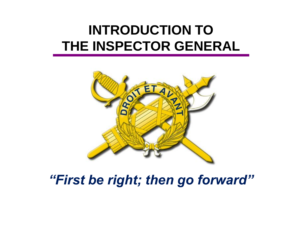### **INTRODUCTION TO THE INSPECTOR GENERAL**



*"First be right; then go forward"*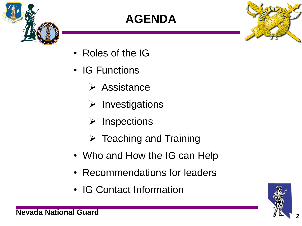

### **AGENDA**



- Roles of the IG
- IG Functions
	- $\triangleright$  Assistance
	- $\triangleright$  Investigations
	- $\triangleright$  Inspections
	- $\triangleright$  Teaching and Training
- Who and How the IG can Help
- Recommendations for leaders
- IG Contact Information

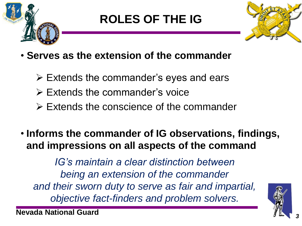

### **ROLES OF THE IG**



- **Serves as the extension of the commander**
	- $\triangleright$  Extends the commander's eyes and ears
	- $\triangleright$  Extends the commander's voice
	- $\triangleright$  Extends the conscience of the commander
- **Informs the commander of IG observations, findings, and impressions on all aspects of the command**

*IG's maintain a clear distinction between being an extension of the commander and their sworn duty to serve as fair and impartial, objective fact-finders and problem solvers.*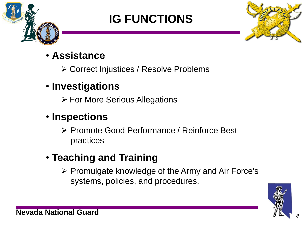

### **IG FUNCTIONS**



#### • **Assistance**

Correct Injustices / Resolve Problems

#### • **Investigations**

For More Serious Allegations

#### • **Inspections**

▶ Promote Good Performance / Reinforce Best practices

### • **Teaching and Training**

 $\triangleright$  Promulgate knowledge of the Army and Air Force's systems, policies, and procedures.

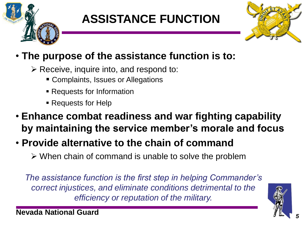

### **ASSISTANCE FUNCTION**



#### • **The purpose of the assistance function is to:**

- $\triangleright$  Receive, inquire into, and respond to:
	- **EX Complaints, Issues or Allegations**
	- Requests for Information
	- Requests for Help
- **Enhance combat readiness and war fighting capability by maintaining the service member's morale and focus**
- **Provide alternative to the chain of command**
	- $\triangleright$  When chain of command is unable to solve the problem

*The assistance function is the first step in helping Commander's correct injustices, and eliminate conditions detrimental to the efficiency or reputation of the military.* 

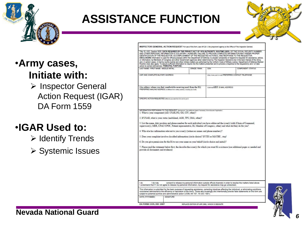

### **ASSISTANCE FUNCTION**



REQUEST For use of this form, see AR 20-1; the proponent agency is the Office of The Inspector Gener

REQUIRED BY THE PRIVACY ACT OF 1974 AUTHORITY: ROUTINE LISES: OF THE SOCIAL SECURITY NUMBER

#### •**Army cases, Initiate with:**

 $\triangleright$  Inspector General Action Request (IGAR) DA Form 1559

#### •**IGAR Used to:**

- $\triangleright$  Identify Trends
- **≻ Systemic Issues**

| LAST NAME - FIRST NAME - MIDDLE INITIAL                                                                                                                                                                                                                                                                                                                                                                                                                                                                                                                                                                                                                                                                                                                                   | <b>GRADE / RANK</b> | SSN                            | COMPONENT / STATUS                                      |
|---------------------------------------------------------------------------------------------------------------------------------------------------------------------------------------------------------------------------------------------------------------------------------------------------------------------------------------------------------------------------------------------------------------------------------------------------------------------------------------------------------------------------------------------------------------------------------------------------------------------------------------------------------------------------------------------------------------------------------------------------------------------------|---------------------|--------------------------------|---------------------------------------------------------|
| UNIT AND COMPLETE MILITARY ADDRESS.                                                                                                                                                                                                                                                                                                                                                                                                                                                                                                                                                                                                                                                                                                                                       |                     |                                | (Duty, home, and / or call) PREFERRED CONTACT TELEPHONE |
| (An address where you feel comfortable receiving mail from the IG)<br>PREFERRED MAILING ADDRESS (traitferent from military address, including Zip Code)                                                                                                                                                                                                                                                                                                                                                                                                                                                                                                                                                                                                                   |                     | (Optional) AKO: E-MAIL ADDRESS |                                                         |
| SPECIFIC ACTION REQUESTED (Mhat do you want the IG to do for you?)                                                                                                                                                                                                                                                                                                                                                                                                                                                                                                                                                                                                                                                                                                        |                     |                                |                                                         |
| INFORMATION PERTAINING TO THIS REQUEST (Background: Use additional sheets if necessary, list enclosures if applicable.)<br>1. What is your component (AD, USAR, NG, GG, CIV, other)?                                                                                                                                                                                                                                                                                                                                                                                                                                                                                                                                                                                      |                     |                                |                                                         |
| 2. If USAR, what is your status (mobilized, AGR, TPU, IMA, other)?<br>3. List the name, duty position and phone number for each individual you have addressed the issue(s) with (Chain of Command,<br>supervisor(s), MER, CPAC/CPOC, Patient representative, IG, Member of Congress, other) and what did they do for you?<br>4. Who else has information relevant to you issue(s) (witnesses names and phone numbers)?<br>5. Does your complaint involve classified information (circle choice)? If YES or MAYBE . stop!<br>6. Do you give permission for the IG to use your name on your behalf (circle choice and initial)?<br>7. Please read the statement below first, the describe the issue(s) for which you want IG assistance (use additional pages as needed and |                     |                                |                                                         |
| provide all documents and evidence)                                                                                                                                                                                                                                                                                                                                                                                                                                                                                                                                                                                                                                                                                                                                       |                     |                                |                                                         |
|                                                                                                                                                                                                                                                                                                                                                                                                                                                                                                                                                                                                                                                                                                                                                                           |                     |                                |                                                         |



**SIGNATURE** 

DATE (YYYYMMDD)

REPLACES EDITION OF APR 2001, WHICH IS OBSOLETE



#### **Nevada National Guard** *<sup>6</sup>*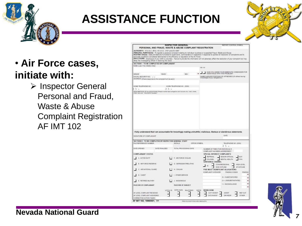

### **ASSISTANCE FUNCTION**



 $\triangleright$  Inspector General Personal and Fraud, Waste & Abuse Complaint Registration AF IMT 102





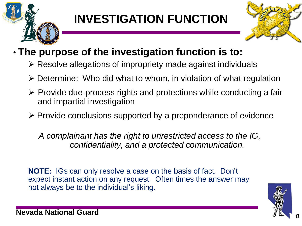

## **INVESTIGATION FUNCTION**



#### • **The purpose of the investigation function is to:**

- $\triangleright$  Resolve allegations of impropriety made against individuals
- Determine: Who did what to whom, in violation of what regulation
- $\triangleright$  Provide due-process rights and protections while conducting a fair and impartial investigation
- $\triangleright$  Provide conclusions supported by a preponderance of evidence

*A complainant has the right to unrestricted access to the IG, confidentiality, and a protected communication.* 

**NOTE:** IGs can only resolve a case on the basis of fact. Don't expect instant action on any request. Often times the answer may not always be to the individual's liking.

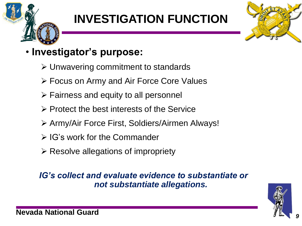## **INVESTIGATION FUNCTION**



#### • **Investigator's purpose:**

- $\triangleright$  Unwavering commitment to standards
- Focus on Army and Air Force Core Values
- $\triangleright$  Fairness and equity to all personnel
- Protect the best interests of the Service
- Army/Air Force First, Soldiers/Airmen Always!
- $\triangleright$  IG's work for the Commander
- $\triangleright$  Resolve allegations of impropriety

#### *IG's collect and evaluate evidence to substantiate or not substantiate allegations.*

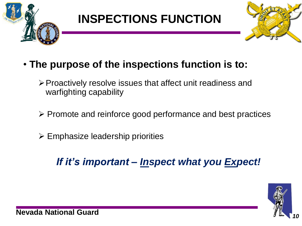



- **The purpose of the inspections function is to:**
	- $\triangleright$  Proactively resolve issues that affect unit readiness and warfighting capability
	- $\triangleright$  Promote and reinforce good performance and best practices
	- $\triangleright$  Emphasize leadership priorities

#### *If it's important – Inspect what you Expect!*

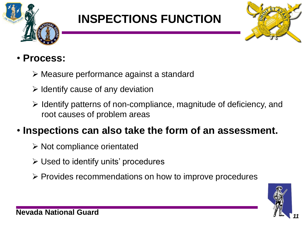



#### • **Process:**

- Measure performance against a standard
- $\triangleright$  Identify cause of any deviation
- $\triangleright$  Identify patterns of non-compliance, magnitude of deficiency, and root causes of problem areas

#### • **Inspections can also take the form of an assessment.**

- $\triangleright$  Not compliance orientated
- Used to identify units' procedures
- $\triangleright$  Provides recommendations on how to improve procedures

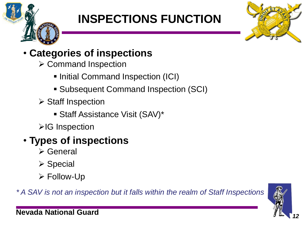



#### • **Categories of inspections**

- **≻ Command Inspection** 
	- **Initial Command Inspection (ICI)**
	- Subsequent Command Inspection (SCI)
- $\triangleright$  Staff Inspection
	- **Staff Assistance Visit (SAV)\***
- **≻IG Inspection**
- **Types of inspections** 
	- General
	- **≻ Special**
	- Follow-Up

*\* A SAV is not an inspection but it falls within the realm of Staff Inspections*

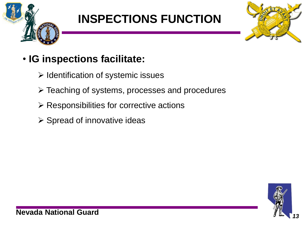



#### • **IG inspections facilitate:**

- $\triangleright$  Identification of systemic issues
- Teaching of systems, processes and procedures
- $\triangleright$  Responsibilities for corrective actions
- $\triangleright$  Spread of innovative ideas

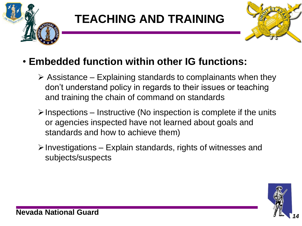

### **TEACHING AND TRAINING**



#### • **Embedded function within other IG functions:**

- $\triangleright$  Assistance Explaining standards to complainants when they don't understand policy in regards to their issues or teaching and training the chain of command on standards
- $\triangleright$  Inspections Instructive (No inspection is complete if the units or agencies inspected have not learned about goals and standards and how to achieve them)
- $\triangleright$  Investigations Explain standards, rights of witnesses and subjects/suspects

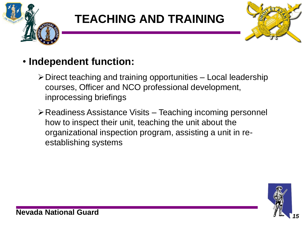

### **TEACHING AND TRAINING**



#### • **Independent function:**

- $\triangleright$  Direct teaching and training opportunities Local leadership courses, Officer and NCO professional development, inprocessing briefings
- Readiness Assistance Visits Teaching incoming personnel how to inspect their unit, teaching the unit about the organizational inspection program, assisting a unit in reestablishing systems

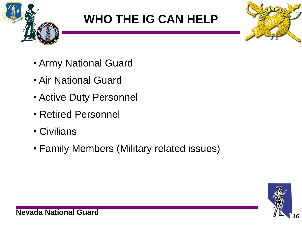

### **WHO THE IG CAN HELP**



- Army National Guard
- Air National Guard
- Active Duty Personnel
- Retired Personnel
- Civilians
- Family Members (Military related issues)

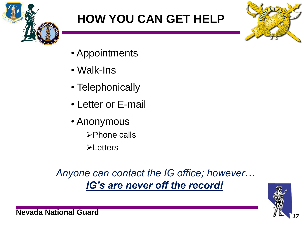

## **HOW YOU CAN GET HELP**



- Appointments
- Walk-Ins
- Telephonically
- Letter or E-mail
- Anonymous
	- **≻Phone calls**
	- **≻Letters**

*Anyone can contact the IG office; however… IG's are never off the record!*

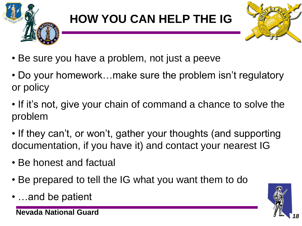

### **HOW YOU CAN HELP THE IG**



- Be sure you have a problem, not just a peeve
- Do your homework…make sure the problem isn't regulatory or policy
- If it's not, give your chain of command a chance to solve the problem
- If they can't, or won't, gather your thoughts (and supporting documentation, if you have it) and contact your nearest IG
- Be honest and factual
- Be prepared to tell the IG what you want them to do
- …and be patient

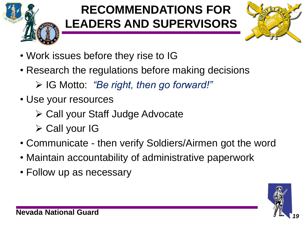

### **RECOMMENDATIONS FOR LEADERS AND SUPERVISORS**



- Work issues before they rise to IG
- Research the regulations before making decisions
	- IG Motto: *"Be right, then go forward!"*
- Use your resources
	- Call your Staff Judge Advocate
	- $\triangleright$  Call your IG
- Communicate then verify Soldiers/Airmen got the word
- Maintain accountability of administrative paperwork
- Follow up as necessary

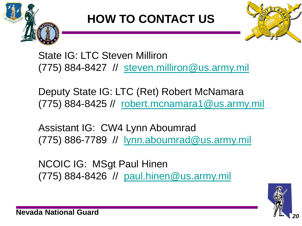

### **HOW TO CONTACT US**



State IG: LTC Steven Milliron (775) 884-8427 // [steven.milliron@us.army.mil](mailto:steven.milliron@us.army.mil)

Deputy State IG: LTC (Ret) Robert McNamara (775) 884-8425 // [robert.mcnamara1@us.army.mil](mailto:robert.mcnamara1@us.army.mil)

Assistant IG: CW4 Lynn Aboumrad (775) 886-7789 // [lynn.aboumrad@us.army.mil](mailto:lynn.aboumrad@us.army.mil)

NCOIC IG: MSgt Paul Hinen (775) 884-8426 // [paul.hinen@us.army.mil](mailto:paul.hinen@us.army.mil)

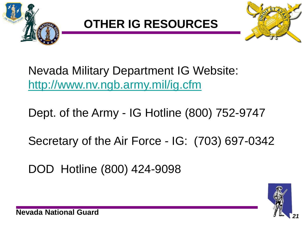

### **OTHER IG RESOURCES**



Nevada Military Department IG Website: <http://www.nv.ngb.army.mil/ig.cfm>

Dept. of the Army - IG Hotline (800) 752-9747

Secretary of the Air Force - IG: (703) 697-0342

DOD Hotline (800) 424-9098